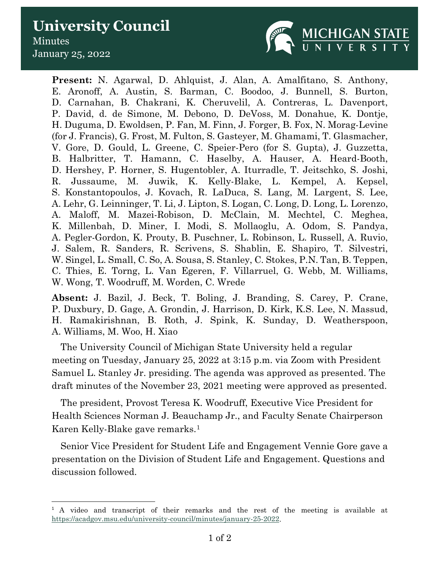## **University Council** Minutes January 25, 2022



**Present:** N. Agarwal, D. Ahlquist, J. Alan, A. Amalfitano, S. Anthony, E. Aronoff, A. Austin, S. Barman, C. Boodoo, J. Bunnell, S. Burton, D. Carnahan, B. Chakrani, K. Cheruvelil, A. Contreras, L. Davenport, P. David, d. de Simone, M. Debono, D. DeVoss, M. Donahue, K. Dontje, H. Duguma, D. Ewoldsen, P. Fan, M. Finn, J. Forger, B. Fox, N. Morag-Levine (for J. Francis), G. Frost, M. Fulton, S. Gasteyer, M. Ghamami, T. Glasmacher, V. Gore, D. Gould, L. Greene, C. Speier-Pero (for S. Gupta), J. Guzzetta, B. Halbritter, T. Hamann, C. Haselby, A. Hauser, A. Heard-Booth, D. Hershey, P. Horner, S. Hugentobler, A. Iturradle, T. Jeitschko, S. Joshi, R. Jussaume, M. Juwik, K. Kelly-Blake, L. Kempel, A. Kepsel, S. Konstantopoulos, J. Kovach, R. LaDuca, S. Lang, M. Largent, S. Lee, A. Lehr, G. Leinninger, T. Li, J. Lipton, S. Logan, C. Long, D. Long, L. Lorenzo, A. Maloff, M. Mazei-Robison, D. McClain, M. Mechtel, C. Meghea, K. Millenbah, D. Miner, I. Modi, S. Mollaoglu, A. Odom, S. Pandya, A. Pegler-Gordon, K. Prouty, B. Puschner, L. Robinson, L. Russell, A. Ruvio, J. Salem, R. Sanders, R. Scrivens, S. Shablin, E. Shapiro, T. Silvestri, W. Singel, L. Small, C. So, A. Sousa, S. Stanley, C. Stokes, P.N. Tan, B. Teppen, C. Thies, E. Torng, L. Van Egeren, F. Villarruel, G. Webb, M. Williams, W. Wong, T. Woodruff, M. Worden, C. Wrede

**Absent:** J. Bazil, J. Beck, T. Boling, J. Branding, S. Carey, P. Crane, P. Duxbury, D. Gage, A. Grondin, J. Harrison, D. Kirk, K.S. Lee, N. Massud, H. Ramakirishnan, B. Roth, J. Spink, K. Sunday, D. Weatherspoon, A. Williams, M. Woo, H. Xiao

The University Council of Michigan State University held a regular meeting on Tuesday, January 25, 2022 at 3:15 p.m. via Zoom with President Samuel L. Stanley Jr. presiding. The agenda was approved as presented. The draft minutes of the November 23, 2021 meeting were approved as presented.

The president, Provost Teresa K. Woodruff, Executive Vice President for Health Sciences Norman J. Beauchamp Jr., and Faculty Senate Chairperson Karen Kelly-Blake gave remarks.[1](#page-0-0)

Senior Vice President for Student Life and Engagement Vennie Gore gave a presentation on the Division of Student Life and Engagement. Questions and discussion followed.

<span id="page-0-0"></span><sup>&</sup>lt;sup>1</sup> A video and transcript of their remarks and the rest of the meeting is available at [https://acadgov.msu.edu/university-council/minutes/january-25-2022.](https://acadgov.msu.edu/university-council/minutes/january-25-2022)